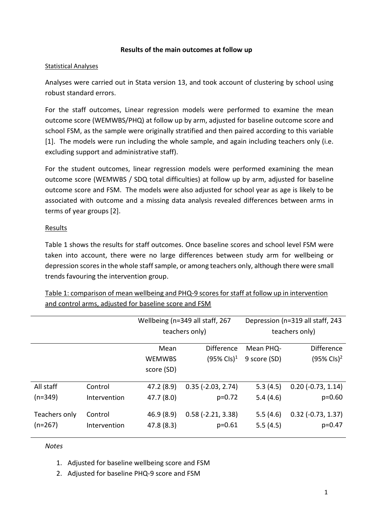### **Results of the main outcomes at follow up**

#### Statistical Analyses

Analyses were carried out in Stata version 13, and took account of clustering by school using robust standard errors.

For the staff outcomes, Linear regression models were performed to examine the mean outcome score (WEMWBS/PHQ) at follow up by arm, adjusted for baseline outcome score and school FSM, as the sample were originally stratified and then paired according to this variable [1]. The models were run including the whole sample, and again including teachers only (i.e. excluding support and administrative staff).

For the student outcomes, linear regression models were performed examining the mean outcome score (WEMWBS / SDQ total difficulties) at follow up by arm, adjusted for baseline outcome score and FSM. The models were also adjusted for school year as age is likely to be associated with outcome and a missing data analysis revealed differences between arms in terms of year groups [2].

# **Results**

Table 1 shows the results for staff outcomes. Once baseline scores and school level FSM were taken into account, there were no large differences between study arm for wellbeing or depression scores in the whole staff sample, or among teachers only, although there were small trends favouring the intervention group.

|               |              | Wellbeing (n=349 all staff, 267 |                             | Depression (n=319 all staff, 243 |                          |
|---------------|--------------|---------------------------------|-----------------------------|----------------------------------|--------------------------|
|               |              | teachers only)                  |                             | teachers only)                   |                          |
|               |              | Mean                            | <b>Difference</b>           | Mean PHQ-                        | <b>Difference</b>        |
|               |              | <b>WEMWBS</b>                   | $(95\% \text{ CIs})^1$      | 9 score (SD)                     | $(95\% \text{ CIs})^2$   |
|               |              | score (SD)                      |                             |                                  |                          |
| All staff     | Control      | 47.2 (8.9)                      | $0.35$ ( $-2.03$ , $2.74$ ) | 5.3(4.5)                         | $0.20$ ( $-0.73$ , 1.14) |
| $(n=349)$     | Intervention | 47.7 (8.0)                      | $p=0.72$                    | 5.4(4.6)                         | $p=0.60$                 |
| Teachers only | Control      | 46.9(8.9)                       | $0.58$ ( $-2.21$ , $3.38$ ) | 5.5(4.6)                         | $0.32$ ( $-0.73$ , 1.37) |
| $(n=267)$     | Intervention | 47.8 (8.3)                      | $p=0.61$                    | 5.5(4.5)                         | $p = 0.47$               |

Table 1: comparison of mean wellbeing and PHQ-9 scores for staff at follow up in intervention and control arms, adjusted for baseline score and FSM

#### *Notes*

- 1. Adjusted for baseline wellbeing score and FSM
- 2. Adjusted for baseline PHQ-9 score and FSM